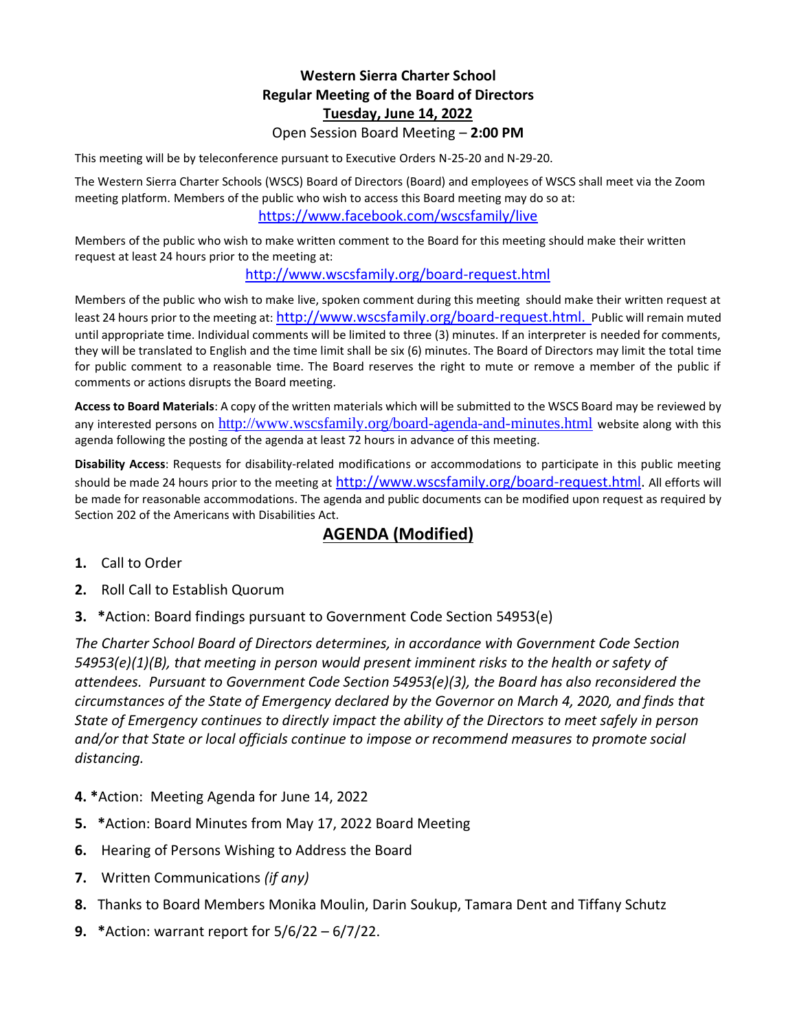## **Western Sierra Charter School Regular Meeting of the Board of Directors Tuesday, June 14, 2022** Open Session Board Meeting – **2:00 PM**

This meeting will be by teleconference pursuant to Executive Orders N-25-20 and N-29-20.

The Western Sierra Charter Schools (WSCS) Board of Directors (Board) and employees of WSCS shall meet via the Zoom meeting platform. Members of the public who wish to access this Board meeting may do so at: <https://www.facebook.com/wscsfamily/live>

Members of the public who wish to make written comment to the Board for this meeting should make their written request at least 24 hours prior to the meeting at:

## <http://www.wscsfamily.org/board-request.html>

Members of the public who wish to make live, spoken comment during this meeting should make their written request at least 24 hours prior to the meeting at: [http://www.wscsfamily.org/board-request.html.](http://www.wscsfamily.org/board-request.html) Public will remain muted until appropriate time. Individual comments will be limited to three (3) minutes. If an interpreter is needed for comments, they will be translated to English and the time limit shall be six (6) minutes. The Board of Directors may limit the total time for public comment to a reasonable time. The Board reserves the right to mute or remove a member of the public if comments or actions disrupts the Board meeting.

**Access to Board Materials**: A copy of the written materials which will be submitted to the WSCS Board may be reviewed by any interested persons on <http://www.wscsfamily.org/board-agenda-and-minutes.html> website along with this agenda following the posting of the agenda at least 72 hours in advance of this meeting.

**Disability Access**: Requests for disability-related modifications or accommodations to participate in this public meeting should be made 24 hours prior to the meeting at [http://www.wscsfamily.org/board-request.html.](http://www.wscsfamily.org/board-request.html) All efforts will be made for reasonable accommodations. The agenda and public documents can be modified upon request as required by Section 202 of the Americans with Disabilities Act.

## **AGENDA (Modified)**

- **1.** Call to Order
- **2.** Roll Call to Establish Quorum
- **3. \***Action: Board findings pursuant to Government Code Section 54953(e)

*The Charter School Board of Directors determines, in accordance with Government Code Section 54953(e)(1)(B), that meeting in person would present imminent risks to the health or safety of attendees. Pursuant to Government Code Section 54953(e)(3), the Board has also reconsidered the circumstances of the State of Emergency declared by the Governor on March 4, 2020, and finds that State of Emergency continues to directly impact the ability of the Directors to meet safely in person and/or that State or local officials continue to impose or recommend measures to promote social distancing.*

- **4. \***Action: Meeting Agenda for June 14, 2022
- **5. \***Action: Board Minutes from May 17, 2022 Board Meeting
- **6.** Hearing of Persons Wishing to Address the Board
- **7.** Written Communications *(if any)*
- **8.** Thanks to Board Members Monika Moulin, Darin Soukup, Tamara Dent and Tiffany Schutz
- **9. \***Action: warrant report for 5/6/22 6/7/22.